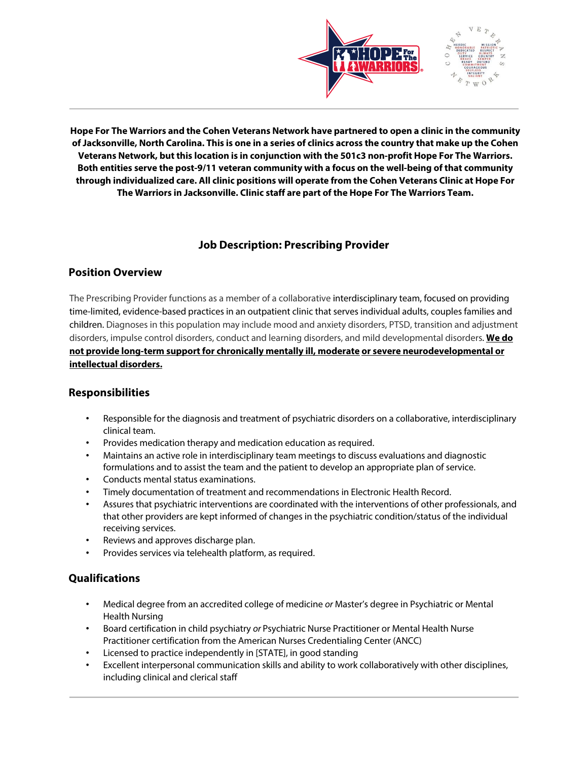

**Hope For The Warriors and the Cohen Veterans Network have partnered to open a clinic in the community of Jacksonville, North Carolina. This is one in a series of clinics across the country that make up the Cohen Veterans Network, but this location is in conjunction with the 501c3 non-profit Hope For The Warriors. Both entities serve the post-9/11 veteran community with a focus on the well-being of that community through individualized care. All clinic positions will operate from the Cohen Veterans Clinic at Hope For The Warriors in Jacksonville. Clinic staff are part of the Hope For The Warriors Team.**

## **Job Description: Prescribing Provider**

## **Position Overview**

The Prescribing Provider functions as a member of a collaborative interdisciplinary team, focused on providing time-limited, evidence-based practices in an outpatient clinic that serves individual adults, couples families and children. Diagnoses in this population may include mood and anxiety disorders, PTSD, transition and adjustment disorders, impulse control disorders, conduct and learning disorders, and mild developmental disorders. **We do not provide long-term support for chronically mentally ill, moderate or severe neurodevelopmental or intellectual disorders.**

## **Responsibilities**

- Responsible for the diagnosis and treatment of psychiatric disorders on a collaborative, interdisciplinary clinical team.
- Provides medication therapy and medication education as required.
- Maintains an active role in interdisciplinary team meetings to discuss evaluations and diagnostic formulations and to assist the team and the patient to develop an appropriate plan of service.
- Conducts mental status examinations.
- Timely documentation of treatment and recommendations in Electronic Health Record.
- Assures that psychiatric interventions are coordinated with the interventions of other professionals, and that other providers are kept informed of changes in the psychiatric condition/status of the individual receiving services.
- Reviews and approves discharge plan.
- Provides services via telehealth platform, as required.

## **Qualifications**

- Medical degree from an accredited college of medicine *or* Master's degree in Psychiatric or Mental Health Nursing
- Board certification in child psychiatry *or* Psychiatric Nurse Practitioner or Mental Health Nurse Practitioner certification from the American Nurses Credentialing Center (ANCC)
- Licensed to practice independently in [STATE], in good standing
- Excellent interpersonal communication skills and ability to work collaboratively with other disciplines, including clinical and clerical staff